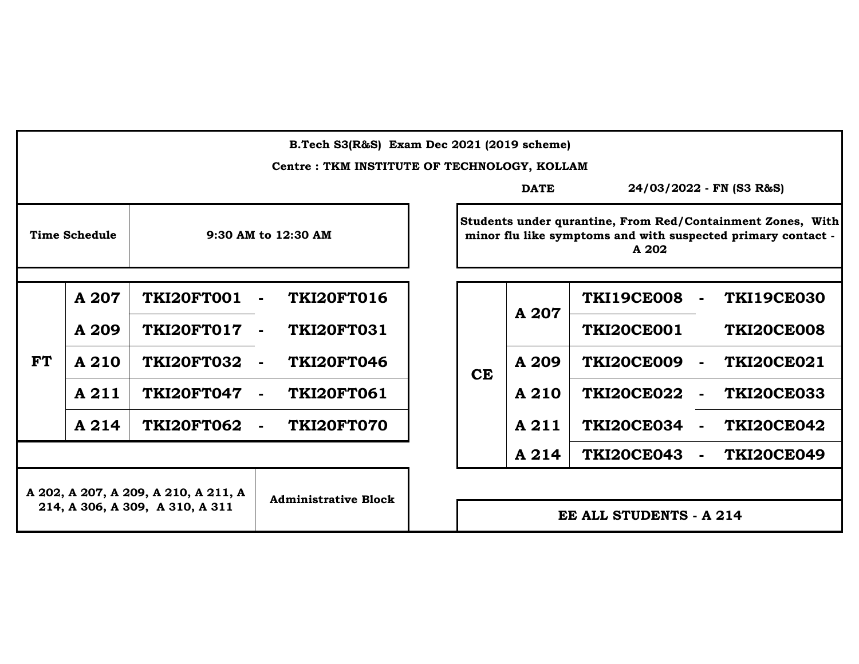|                                      | B.Tech S3(R&S) Exam Dec 2021 (2019 scheme)  |                             |                     |  |           |                         |                                                                       |                                                            |
|--------------------------------------|---------------------------------------------|-----------------------------|---------------------|--|-----------|-------------------------|-----------------------------------------------------------------------|------------------------------------------------------------|
|                                      | Centre: TKM INSTITUTE OF TECHNOLOGY, KOLLAM |                             |                     |  |           |                         |                                                                       |                                                            |
|                                      |                                             |                             |                     |  |           | <b>DATE</b>             |                                                                       | 24/03/2022 - FN (S3 R&S)                                   |
|                                      | <b>Time Schedule</b>                        |                             | 9:30 AM to 12:30 AM |  |           |                         | minor flu like symptoms and with suspected primary contact -<br>A 202 | Students under qurantine, From Red/Containment Zones, With |
|                                      |                                             |                             |                     |  |           |                         |                                                                       |                                                            |
|                                      | A 207                                       | TKI20FT001                  | <b>TKI20FT016</b>   |  |           | A 207                   | <b>TKI19CE008</b>                                                     | <b>TKI19CE030</b>                                          |
|                                      | A 209                                       | <b>TKI20FT017</b>           | <b>TKI20FT031</b>   |  |           |                         | <b>TKI20CE001</b>                                                     | <b>TKI20CE008</b>                                          |
| <b>FT</b>                            | A 210                                       | <b>TKI20FT032</b>           | <b>TKI20FT046</b>   |  | <b>CE</b> | A 209                   | <b>TKI20CE009</b>                                                     | <b>TKI20CE021</b>                                          |
|                                      | A 211                                       | <b>TKI20FT047</b>           | <b>TKI20FT061</b>   |  |           | A 210                   | <b>TKI20CE022</b>                                                     | <b>TKI20CE033</b>                                          |
|                                      | A 214                                       | <b>TKI20FT062</b>           | TKI20FT070          |  |           | A 211                   | <b>TKI20CE034</b>                                                     | <b>TKI20CE042</b>                                          |
|                                      |                                             |                             |                     |  |           | A 214                   | <b>TKI20CE043</b>                                                     | <b>TKI20CE049</b>                                          |
| A 202, A 207, A 209, A 210, A 211, A |                                             |                             |                     |  |           |                         |                                                                       |                                                            |
| 214, A 306, A 309, A 310, A 311      |                                             | <b>Administrative Block</b> |                     |  |           | EE ALL STUDENTS - A 214 |                                                                       |                                                            |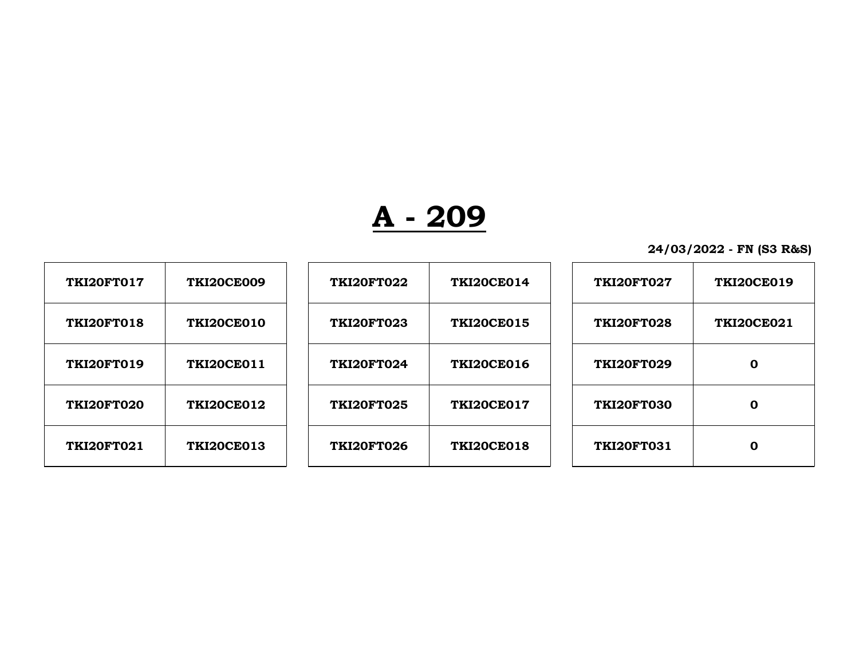| <b>TKI20FT017</b> | <b>TKI20CE009</b> | <b>TKI20FT022</b> | <b>TKI20CE014</b> | <b>TKI20FT027</b> | <b>TKI20CE019</b> |
|-------------------|-------------------|-------------------|-------------------|-------------------|-------------------|
| <b>TKI20FT018</b> | <b>TKI20CE010</b> | <b>TKI20FT023</b> | <b>TKI20CE015</b> | <b>TKI20FT028</b> | <b>TKI20CE021</b> |
| TKI20FT019        | <b>TKI20CE011</b> | <b>TKI20FT024</b> | <b>TKI20CE016</b> | <b>TKI20FT029</b> | 0                 |
| <b>TKI20FT020</b> | <b>TKI20CE012</b> | <b>TKI20FT025</b> | <b>TKI20CE017</b> | <b>TKI20FT030</b> | 0                 |
| <b>TKI20FT021</b> | <b>TKI20CE013</b> | <b>TKI20FT026</b> | <b>TKI20CE018</b> | <b>TKI20FT031</b> | 0                 |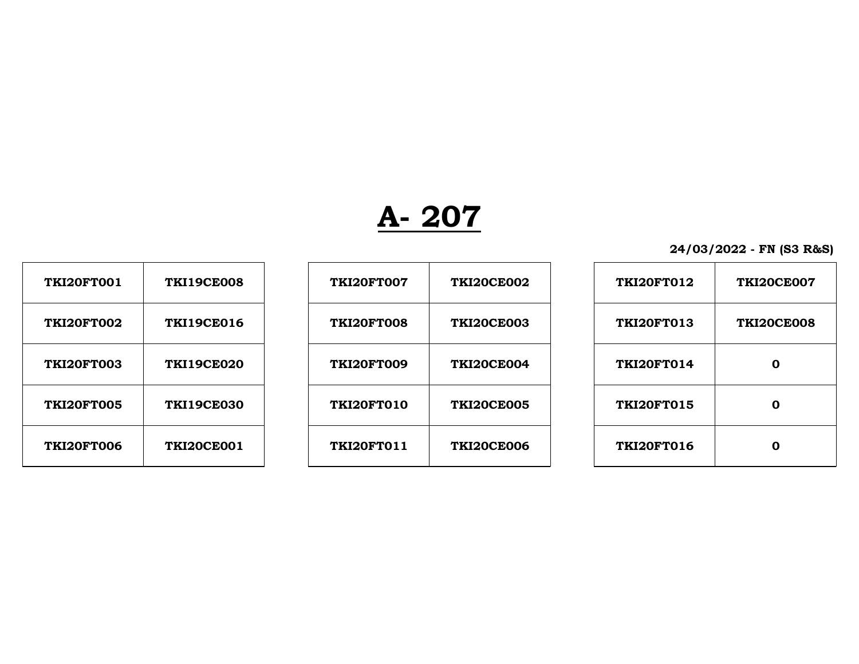| 24/03/2022 - FN (S3 R&S) |  |  |  |  |
|--------------------------|--|--|--|--|
|--------------------------|--|--|--|--|

| <b>TKI20FT001</b> | <b>TKI19CE008</b> |
|-------------------|-------------------|
| <b>TKI20FT002</b> | <b>TKI19CE016</b> |
| <b>TKI20FT003</b> | <b>TKI19CE020</b> |
| <b>TKI20FT005</b> | <b>TKI19CE030</b> |
| <b>TKI20FT006</b> | <b>TKI20CE001</b> |

| <b>TKI20FT001</b> | <b>TKI19CE008</b> | <b>TKI20FT007</b> | <b>TKI20CE002</b> | <b>TKI20FT012</b> | <b>TKI20CE007</b> |
|-------------------|-------------------|-------------------|-------------------|-------------------|-------------------|
| <b>TKI20FT002</b> | <b>TKI19CE016</b> | <b>TKI20FT008</b> | <b>TKI20CE003</b> | <b>TKI20FT013</b> | <b>TKI20CE008</b> |
| <b>TKI20FT003</b> | <b>TKI19CE020</b> | <b>TKI20FT009</b> | <b>TKI20CE004</b> | <b>TKI20FT014</b> | $\mathbf 0$       |
| <b>TKI20FT005</b> | <b>TKI19CE030</b> | TKI20FT010        | <b>TKI20CE005</b> | <b>TKI20FT015</b> | 0                 |
| <b>TKI20FT006</b> | <b>TKI20CE001</b> | <b>TKI20FT011</b> | <b>TKI20CE006</b> | <b>TKI20FT016</b> | 0                 |
|                   |                   |                   |                   |                   |                   |

| <b>TKI20FT012</b> | <b>TKI20CE007</b> |
|-------------------|-------------------|
| TKI20FT013        | <b>TKI20CE008</b> |
| TKI20FT014        | Λ                 |
| <b>TKI20FT015</b> | Λ                 |
| <b>TKI20FT016</b> |                   |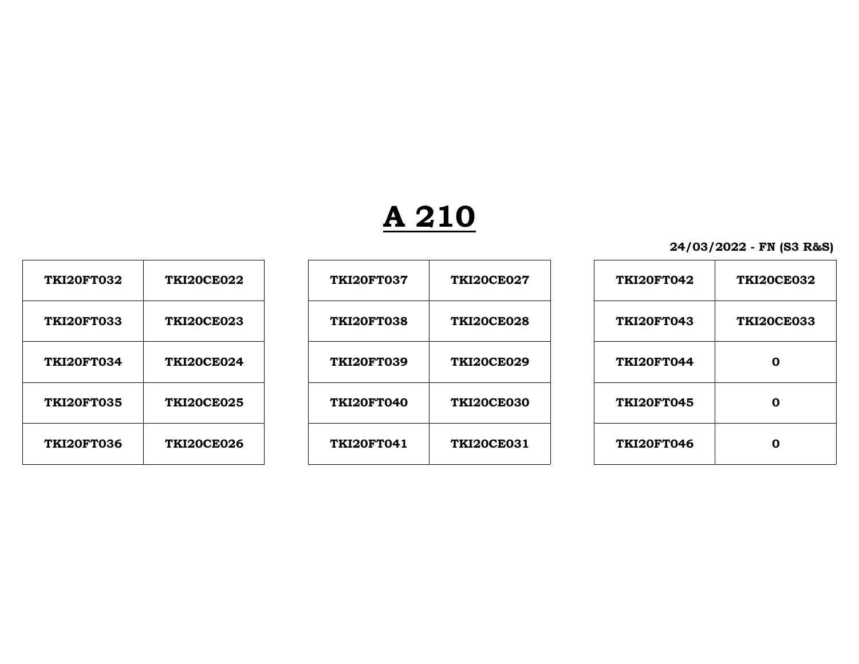# **A 210**

| <b>TKI20FT032</b> | <b>TKI20CE022</b> |
|-------------------|-------------------|
| <b>TKI20FT033</b> | <b>TKI20CE023</b> |
| <b>TKI20FT034</b> | <b>TKI20CE024</b> |
| <b>TKI20FT035</b> | <b>TKI20CE025</b> |
| <b>TKI20FT036</b> | <b>TKI20CE026</b> |

| <b>TKI20FT032</b> | <b>TKI20CE022</b> | <b>TKI20FT037</b> | <b>TKI20CE027</b> | <b>TKI20FT042</b> | <b>TKI20CE032</b> |
|-------------------|-------------------|-------------------|-------------------|-------------------|-------------------|
| <b>TKI20FT033</b> | <b>TKI20CE023</b> | <b>TKI20FT038</b> | <b>TKI20CE028</b> | <b>TKI20FT043</b> | <b>TKI20CE033</b> |
| <b>TKI20FT034</b> | <b>TKI20CE024</b> | <b>TKI20FT039</b> | <b>TKI20CE029</b> | <b>TKI20FT044</b> | $\mathbf 0$       |
| <b>TKI20FT035</b> | <b>TKI20CE025</b> | TKI20FT040        | <b>TKI20CE030</b> | <b>TKI20FT045</b> | 0                 |
| <b>TKI20FT036</b> | <b>TKI20CE026</b> | <b>TKI20FT041</b> | <b>TKI20CE031</b> | <b>TKI20FT046</b> | $\mathbf 0$       |

| <b>TKI20FT042</b> | <b>TKI20CE032</b> |
|-------------------|-------------------|
| <b>TKI20FT043</b> | <b>TKI20CE033</b> |
| <b>TKI20FT044</b> | Λ                 |
| <b>TKI20FT045</b> | Λ                 |
| <b>TKI20FT046</b> |                   |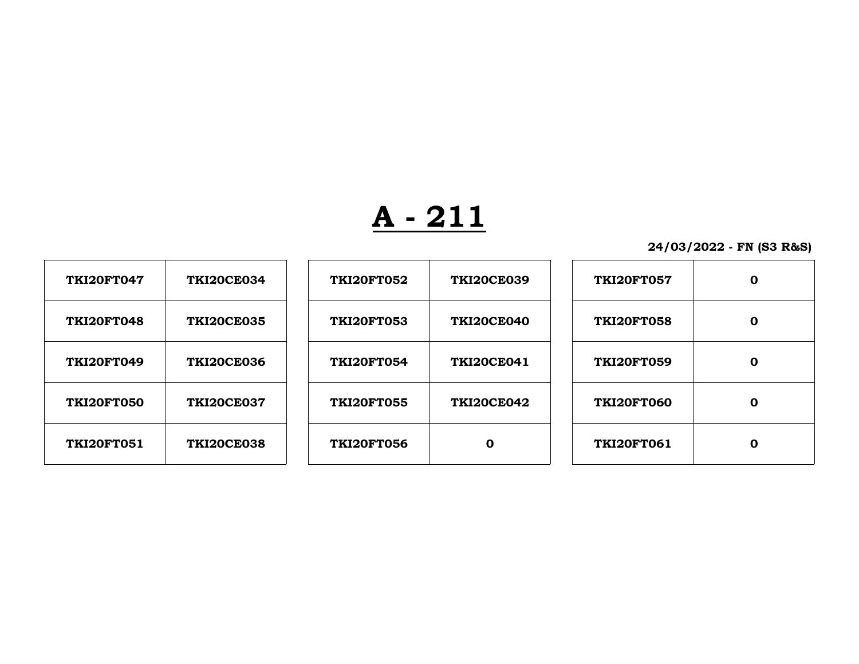**24/03/2022 - FN (S3 R&S)**

| <b>TKI20FT047</b> | <b>TKI20CE034</b> |
|-------------------|-------------------|
| <b>TKI20FT048</b> | <b>TKI20CE035</b> |
| <b>TKI20FT049</b> | <b>TKI20CE036</b> |
| <b>TKI20FT050</b> | <b>TKI20CE037</b> |
| <b>TKI20FT051</b> | <b>TKI20CE038</b> |

 $\Gamma$ 

| <b>TKI20FT047</b> | <b>TKI20CE034</b> | <b>TKI20FT052</b> | <b>TKI20CE039</b> | <b>TKI20FT057</b> | $\mathbf 0$ |
|-------------------|-------------------|-------------------|-------------------|-------------------|-------------|
| <b>TKI20FT048</b> | <b>TKI20CE035</b> | <b>TKI20FT053</b> | <b>TKI20CE040</b> | <b>TKI20FT058</b> | $\mathbf 0$ |
| <b>TKI20FT049</b> | <b>TKI20CE036</b> | <b>TKI20FT054</b> | <b>TKI20CE041</b> | <b>TKI20FT059</b> | 0           |
| <b>TKI20FT050</b> | <b>TKI20CE037</b> | <b>TKI20FT055</b> | <b>TKI20CE042</b> | <b>TKI20FT060</b> | 0           |
| <b>TKI20FT051</b> | <b>TKI20CE038</b> | <b>TKI20FT056</b> | $\mathbf 0$       | <b>TKI20FT061</b> | $\mathbf 0$ |
|                   |                   |                   |                   |                   |             |

| <b>TKI20FT057</b> |   |
|-------------------|---|
| <b>TKI20FT058</b> |   |
| <b>TKI20FT059</b> |   |
| <b>TKI20FT060</b> | n |
| <b>TKI20FT061</b> |   |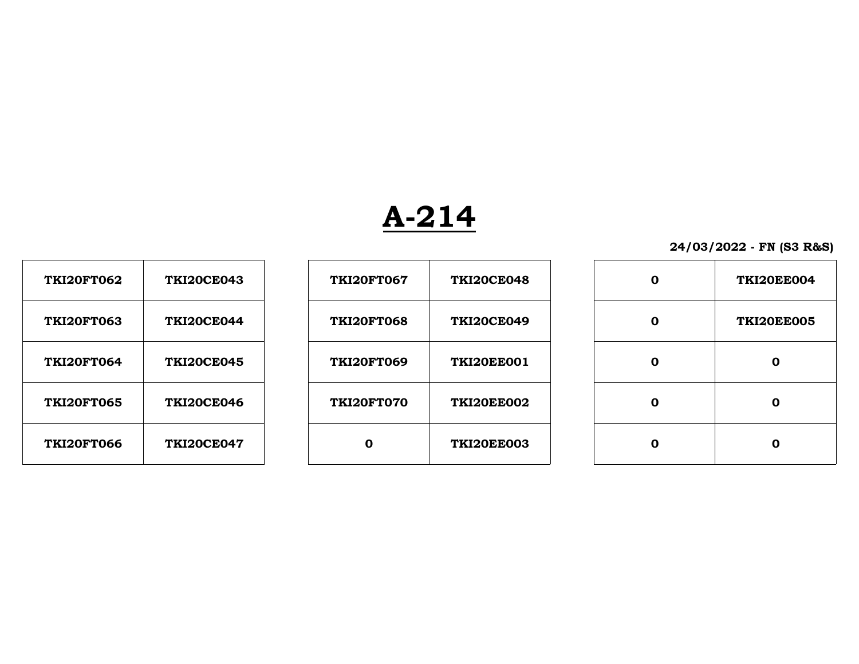| <b>TKI20FT062</b> | <b>TKI20CE043</b> |
|-------------------|-------------------|
| <b>TKI20FT063</b> | <b>TKI20CE044</b> |
| <b>TKI20FT064</b> | <b>TKI20CE045</b> |
| <b>TKI20FT065</b> | <b>TKI20CE046</b> |
| <b>TKI20FT066</b> | <b>TKI20CE047</b> |

| <b>TKI20FT062</b> | <b>TKI20CE043</b> | <b>TKI20FT067</b> | <b>TKI20CE048</b> | $\mathbf 0$ | TKI20EE004        |
|-------------------|-------------------|-------------------|-------------------|-------------|-------------------|
| <b>TKI20FT063</b> | <b>TKI20CE044</b> | <b>TKI20FT068</b> | <b>TKI20CE049</b> | 0           | <b>TKI20EE005</b> |
| <b>TKI20FT064</b> | <b>TKI20CE045</b> | <b>TKI20FT069</b> | <b>TKI20EE001</b> | 0           | 0                 |
| <b>TKI20FT065</b> | <b>TKI20CE046</b> | <b>TKI20FT070</b> | <b>TKI20EE002</b> | 0           | 0                 |
| <b>TKI20FT066</b> | <b>TKI20CE047</b> | 0                 | <b>TKI20EE003</b> | O           | 0                 |

| ი | <b>TKI20EE004</b> |
|---|-------------------|
| O | <b>TKI20EE005</b> |
| ი | Λ                 |
| ი |                   |
|   |                   |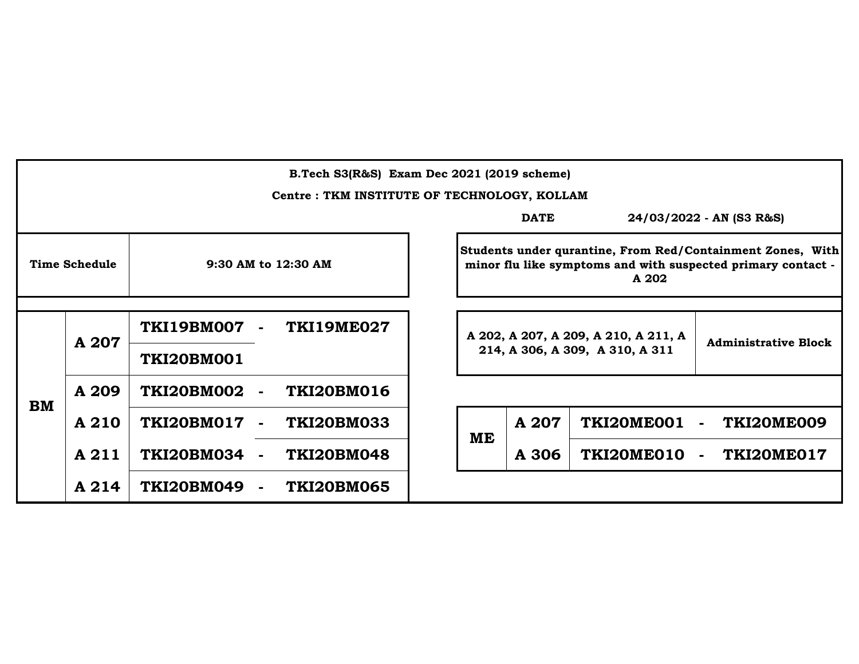|           | B.Tech S3(R&S) Exam Dec 2021 (2019 scheme)  |                                        |    |             |                                      |                                                                                                                            |  |  |
|-----------|---------------------------------------------|----------------------------------------|----|-------------|--------------------------------------|----------------------------------------------------------------------------------------------------------------------------|--|--|
|           | Centre: TKM INSTITUTE OF TECHNOLOGY, KOLLAM |                                        |    |             |                                      |                                                                                                                            |  |  |
|           |                                             |                                        |    | <b>DATE</b> |                                      | 24/03/2022 - AN (S3 R&S)                                                                                                   |  |  |
|           | <b>Time Schedule</b>                        | 9:30 AM to 12:30 AM                    |    |             | A 202                                | Students under qurantine, From Red/Containment Zones, With<br>minor flu like symptoms and with suspected primary contact - |  |  |
|           |                                             |                                        |    |             |                                      |                                                                                                                            |  |  |
|           |                                             | TKI19BM007<br><b>TKI19ME027</b>        |    |             | A 202, A 207, A 209, A 210, A 211, A |                                                                                                                            |  |  |
|           | A 207                                       | <b>TKI20BM001</b>                      |    |             | 214, A 306, A 309, A 310, A 311      | <b>Administrative Block</b>                                                                                                |  |  |
| <b>BM</b> | A 209                                       | <b>TKI20BM016</b><br><b>TKI20BM002</b> |    |             |                                      |                                                                                                                            |  |  |
|           | A 210                                       | <b>TKI20BM017</b><br><b>TKI20BM033</b> | ME | A 207       | <b>TKI20ME001</b>                    | TKI20ME009<br>$\blacksquare$                                                                                               |  |  |
|           | A 211                                       | <b>TKI20BM034</b><br><b>TKI20BM048</b> |    | A 306       | TKI20ME010                           | TKI20ME017<br>÷                                                                                                            |  |  |
|           | A 214                                       | <b>TKI20BM049</b><br><b>TKI20BM065</b> |    |             |                                      |                                                                                                                            |  |  |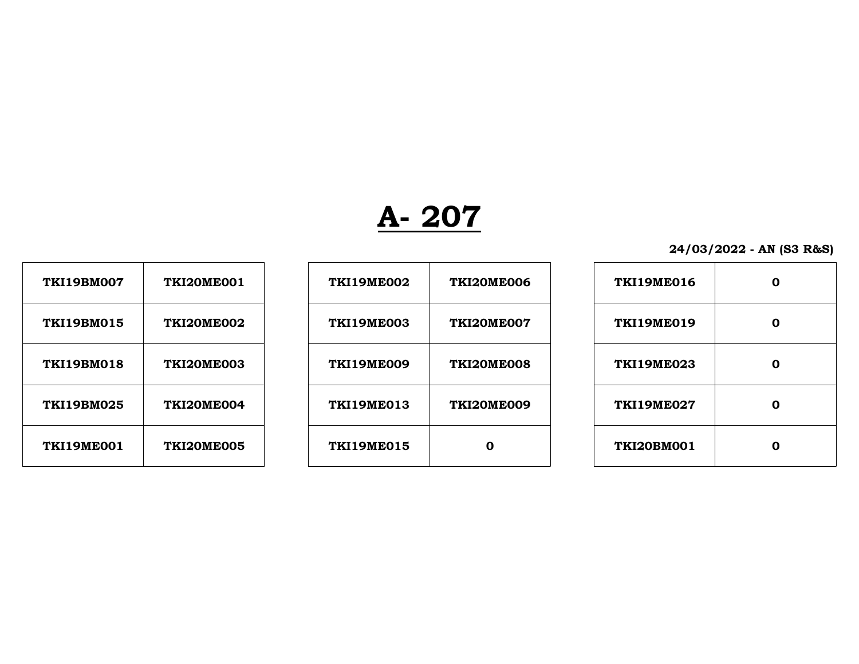| 24/03/2022 - AN (S3 R&S) |  |  |
|--------------------------|--|--|
|                          |  |  |

| <b>TKI19BM007</b> | <b>TKI20ME001</b> |
|-------------------|-------------------|
| <b>TKI19BM015</b> | TKI20ME002        |
| <b>TKI19BM018</b> | <b>TKI20ME003</b> |
| <b>TKI19BM025</b> | <b>TKI20ME004</b> |
| <b>TKI19ME001</b> | <b>TKI20ME005</b> |

| <b>TKI19BM007</b> | TKI20ME001        | <b>TKI19ME002</b> | <b>TKI20ME006</b> | <b>TKI19ME016</b> | 0           |
|-------------------|-------------------|-------------------|-------------------|-------------------|-------------|
| <b>TKI19BM015</b> | <b>TKI20ME002</b> | <b>TKI19ME003</b> | TKI20ME007        | <b>TKI19ME019</b> | 0           |
| <b>TKI19BM018</b> | <b>TKI20ME003</b> | <b>TKI19ME009</b> | TKI20ME008        | <b>TKI19ME023</b> | $\mathbf 0$ |
| <b>TKI19BM025</b> | <b>TKI20ME004</b> | <b>TKI19ME013</b> | <b>TKI20ME009</b> | <b>TKI19ME027</b> | $\mathbf 0$ |
| TKI19ME001        | TKI20ME005        | <b>TKI19ME015</b> | $\bf{0}$          | <b>TKI20BM001</b> | 0           |

| <b>TKI19ME016</b> | Λ |
|-------------------|---|
| <b>TKI19ME019</b> | ი |
| <b>TKI19ME023</b> | ი |
| <b>TKI19ME027</b> | U |
| <b>TKI20BM001</b> | n |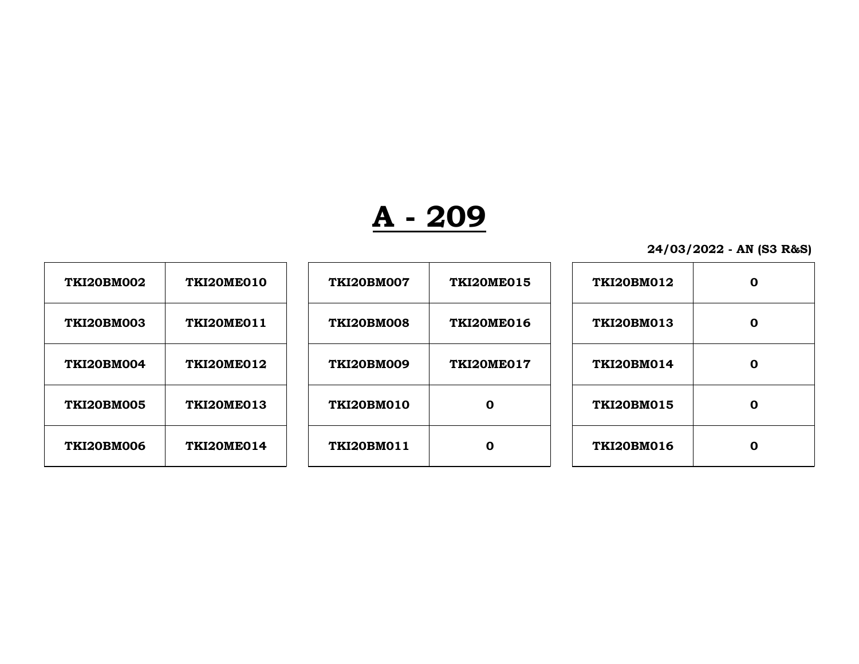| <b>TKI20BM002</b> | TKI20ME010 | <b>TKI20BM007</b> | <b>TKI20ME015</b> | <b>TKI20BM012</b> | $\mathbf 0$ |
|-------------------|------------|-------------------|-------------------|-------------------|-------------|
| <b>TKI20BM003</b> | TKI20ME011 | <b>TKI20BM008</b> | TKI20ME016        | TKI20BM013        | $\mathbf 0$ |
| TKI20BM004        | TKI20ME012 | <b>TKI20BM009</b> | TKI20ME017        | <b>TKI20BM014</b> | 0           |
| <b>TKI20BM005</b> | TKI20ME013 | TKI20BM010        | 0                 | <b>TKI20BM015</b> | 0           |
| <b>TKI20BM006</b> | TKI20ME014 | TKI20BM011        | 0                 | <b>TKI20BM016</b> | 0           |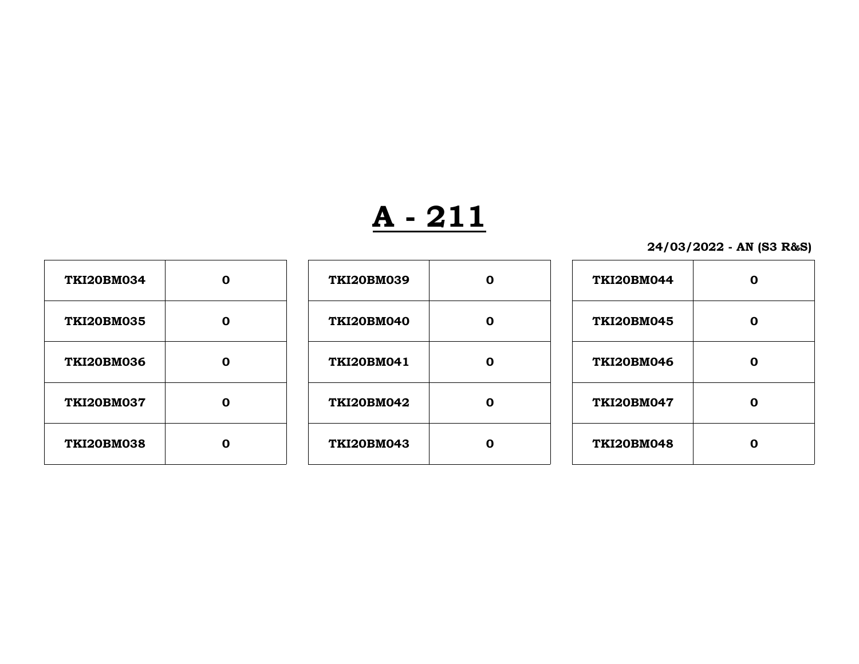| <b>TKI20BM034</b> |  |
|-------------------|--|
| <b>TKI20BM035</b> |  |
| <b>TKI20BM036</b> |  |
| <b>TKI20BM037</b> |  |
| <b>TKI20BM038</b> |  |

| <b>TKI20BM034</b> | 0           | <b>TKI20BM039</b> | $\bf{0}$    | <b>TKI20BM044</b> | $\mathbf 0$ |
|-------------------|-------------|-------------------|-------------|-------------------|-------------|
| <b>TKI20BM035</b> | $\mathbf 0$ | <b>TKI20BM040</b> | $\mathbf 0$ | <b>TKI20BM045</b> | $\mathbf 0$ |
| <b>TKI20BM036</b> | $\mathbf 0$ | <b>TKI20BM041</b> | $\mathbf 0$ | <b>TKI20BM046</b> | $\mathbf 0$ |
| <b>TKI20BM037</b> | O           | <b>TKI20BM042</b> | $\mathbf 0$ | <b>TKI20BM047</b> | $\mathbf 0$ |
| <b>TKI20BM038</b> | 0           | <b>TKI20BM043</b> | $\mathbf 0$ | <b>TKI20BM048</b> | $\mathbf 0$ |

| <b>TKI20BM044</b> |  |
|-------------------|--|
| <b>TKI20BM045</b> |  |
| <b>TKI20BM046</b> |  |
| <b>TKI20BM047</b> |  |
| <b>TKI20BM048</b> |  |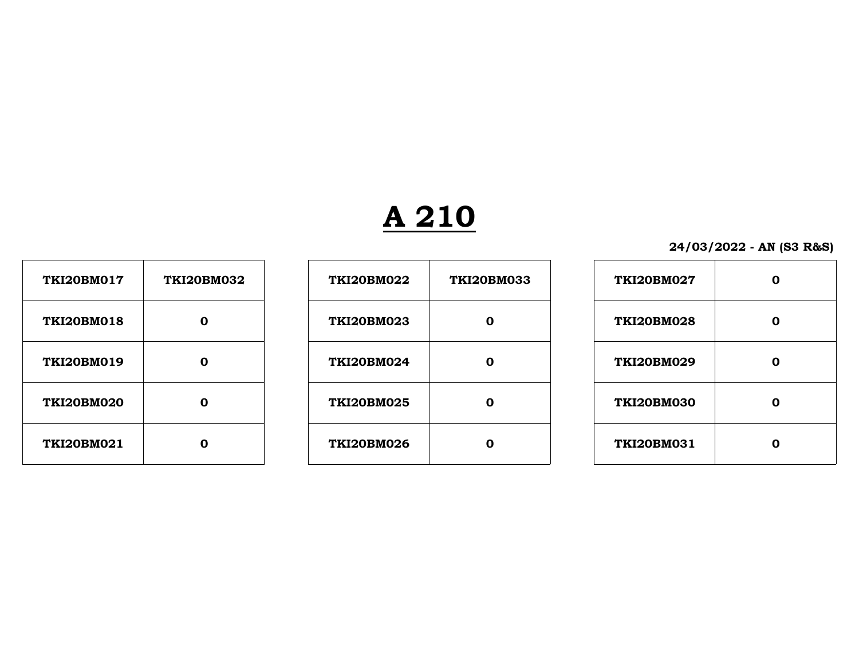# **A 210**

| <b>TKI20BM017</b> | <b>TKI20BM032</b> |
|-------------------|-------------------|
| <b>TKI20BM018</b> | Λ                 |
| <b>TKI20BM019</b> | Λ                 |
| <b>TKI20BM020</b> | n                 |
| <b>TKI20BM021</b> |                   |

| <b>TKI20BM017</b> | <b>TKI20BM032</b> | <b>TKI20BM022</b> | <b>TKI20BM033</b> | <b>TKI20BM027</b> | 0 |
|-------------------|-------------------|-------------------|-------------------|-------------------|---|
| <b>TKI20BM018</b> | 0                 | <b>TKI20BM023</b> | $\Omega$          | <b>TKI20BM028</b> | 0 |
| <b>TKI20BM019</b> | 0                 | <b>TKI20BM024</b> | $\mathbf 0$       | <b>TKI20BM029</b> | 0 |
| <b>TKI20BM020</b> | 0                 | <b>TKI20BM025</b> | $\bf{0}$          | <b>TKI20BM030</b> | 0 |
| <b>TKI20BM021</b> | 0                 | <b>TKI20BM026</b> | $\bf{0}$          | <b>TKI20BM031</b> | 0 |
|                   |                   |                   |                   |                   |   |

| <b>TKI20BM027</b> |   |
|-------------------|---|
| <b>TKI20BM028</b> | n |
| <b>TKI20BM029</b> |   |
| <b>TKI20BM030</b> |   |
| <b>TKI20BM031</b> |   |